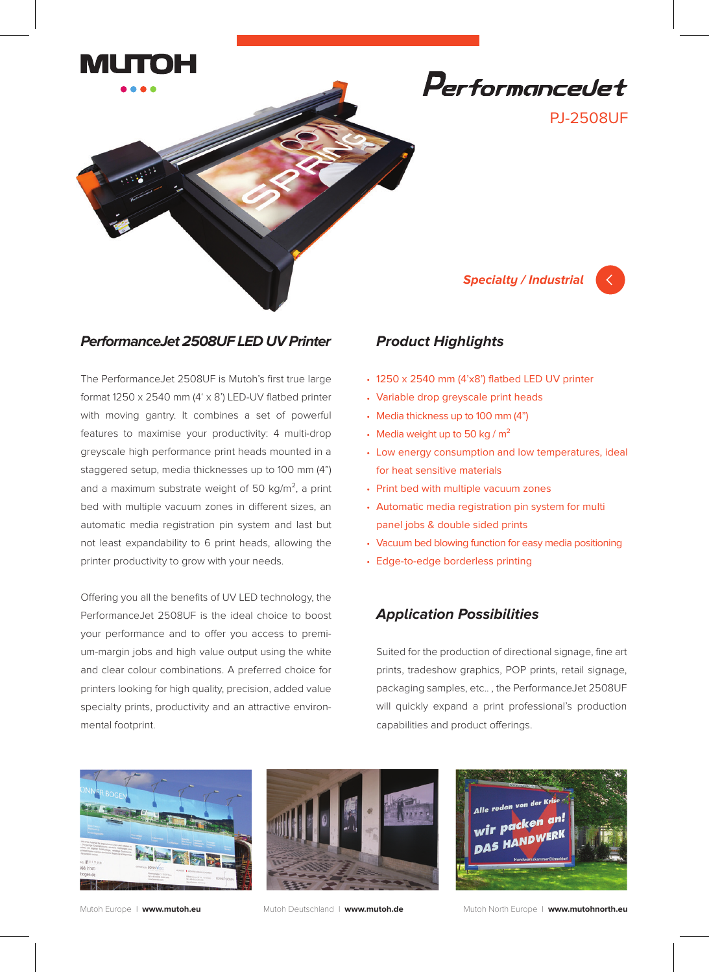



#### **PerformanceJet 2508UF LED UV Printer**

The PerformanceJet 2508UF is Mutoh's first true large format 1250 x 2540 mm  $(4' \times 8')$  LED-UV flatbed printer with moving gantry. It combines a set of powerful features to maximise your productivity: 4 multi-drop greyscale high performance print heads mounted in a staggered setup, media thicknesses up to 100 mm (4") and a maximum substrate weight of 50  $kg/m<sup>2</sup>$ , a print bed with multiple vacuum zones in different sizes, an automatic media registration pin system and last but not least expandability to 6 print heads, allowing the printer productivity to grow with your needs.

Offering you all the benefits of UV LED technology, the PerformanceJet 2508UF is the ideal choice to boost your performance and to offer you access to premium-margin jobs and high value output using the white and clear colour combinations. A preferred choice for printers looking for high quality, precision, added value specialty prints, productivity and an attractive environmental footprint.

## **Product Highlights**

- 1250 x 2540 mm (4'x8') flatbed LED UV printer
- Variable drop greyscale print heads •
- Media thickness up to 100 mm (4")
- Media weight up to 50 kg /  $m^2$
- Low energy consumption and low temperatures, ideal for heat sensitive materials

**Specialty / Industrial**

Performancedet

PJ-2508UF

- Print bed with multiple vacuum zones
- Automatic media registration pin system for multi panel jobs & double sided prints
- Vacuum bed blowing function for easy media positioning
- Edge-to-edge borderless printing •

### **Application Possibilities**

Suited for the production of directional signage, fine art prints, tradeshow graphics, POP prints, retail signage, packaging samples, etc.. , the PerformanceJet 2508UF will quickly expand a print professional's production capabilities and product offerings.